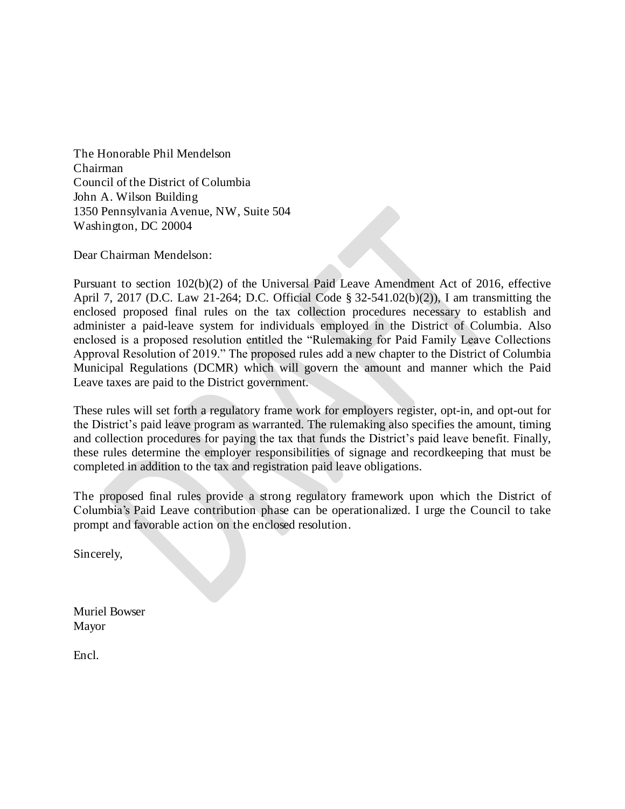The Honorable Phil Mendelson Chairman Council of the District of Columbia John A. Wilson Building 1350 Pennsylvania Avenue, NW, Suite 504 Washington, DC 20004

Dear Chairman Mendelson:

Pursuant to section 102(b)(2) of the Universal Paid Leave Amendment Act of 2016, effective April 7, 2017 (D.C. Law 21-264; D.C. Official Code § 32-541.02(b)(2)), I am transmitting the enclosed proposed final rules on the tax collection procedures necessary to establish and administer a paid-leave system for individuals employed in the District of Columbia. Also enclosed is a proposed resolution entitled the "Rulemaking for Paid Family Leave Collections Approval Resolution of 2019." The proposed rules add a new chapter to the District of Columbia Municipal Regulations (DCMR) which will govern the amount and manner which the Paid Leave taxes are paid to the District government.

These rules will set forth a regulatory frame work for employers register, opt-in, and opt-out for the District's paid leave program as warranted. The rulemaking also specifies the amount, timing and collection procedures for paying the tax that funds the District's paid leave benefit. Finally, these rules determine the employer responsibilities of signage and recordkeeping that must be completed in addition to the tax and registration paid leave obligations.

The proposed final rules provide a strong regulatory framework upon which the District of Columbia's Paid Leave contribution phase can be operationalized. I urge the Council to take prompt and favorable action on the enclosed resolution.

Sincerely,

Muriel Bowser Mayor

Encl.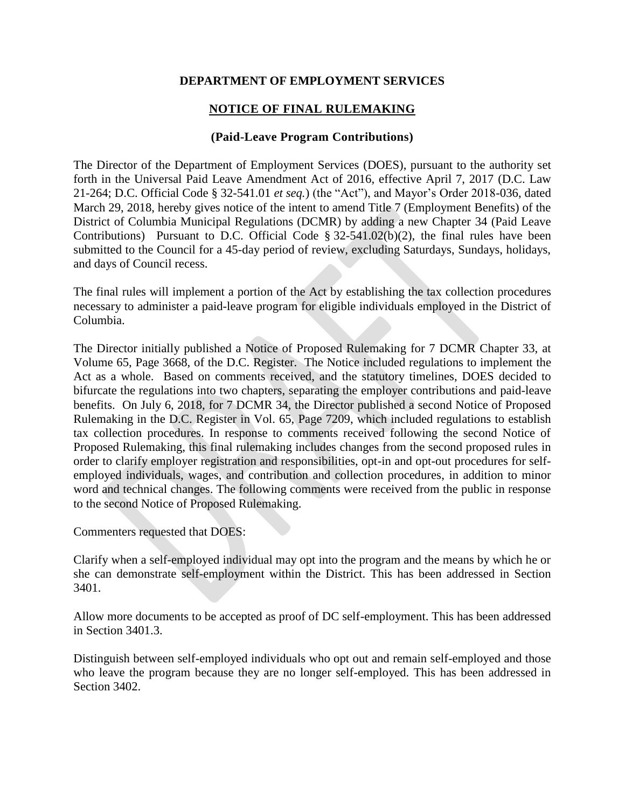## **DEPARTMENT OF EMPLOYMENT SERVICES**

# **NOTICE OF FINAL RULEMAKING**

### **(Paid-Leave Program Contributions)**

The Director of the Department of Employment Services (DOES), pursuant to the authority set forth in the Universal Paid Leave Amendment Act of 2016, effective April 7, 2017 (D.C. Law 21-264; D.C. Official Code § 32-541.01 *et seq.*) (the "Act"), and Mayor's Order 2018-036, dated March 29, 2018, hereby gives notice of the intent to amend Title 7 (Employment Benefits) of the District of Columbia Municipal Regulations (DCMR) by adding a new Chapter 34 (Paid Leave Contributions) Pursuant to D.C. Official Code  $\S 32-541.02(b)(2)$ , the final rules have been submitted to the Council for a 45-day period of review, excluding Saturdays, Sundays, holidays, and days of Council recess.

The final rules will implement a portion of the Act by establishing the tax collection procedures necessary to administer a paid-leave program for eligible individuals employed in the District of Columbia.

The Director initially published a Notice of Proposed Rulemaking for 7 DCMR Chapter 33, at Volume 65, Page 3668, of the D.C. Register. The Notice included regulations to implement the Act as a whole. Based on comments received, and the statutory timelines, DOES decided to bifurcate the regulations into two chapters, separating the employer contributions and paid-leave benefits. On July 6, 2018, for 7 DCMR 34, the Director published a second Notice of Proposed Rulemaking in the D.C. Register in Vol. 65, Page 7209, which included regulations to establish tax collection procedures. In response to comments received following the second Notice of Proposed Rulemaking, this final rulemaking includes changes from the second proposed rules in order to clarify employer registration and responsibilities, opt-in and opt-out procedures for selfemployed individuals, wages, and contribution and collection procedures, in addition to minor word and technical changes. The following comments were received from the public in response to the second Notice of Proposed Rulemaking.

Commenters requested that DOES:

Clarify when a self-employed individual may opt into the program and the means by which he or she can demonstrate self-employment within the District. This has been addressed in Section 3401.

Allow more documents to be accepted as proof of DC self-employment. This has been addressed in Section 3401.3.

Distinguish between self-employed individuals who opt out and remain self-employed and those who leave the program because they are no longer self-employed. This has been addressed in Section 3402.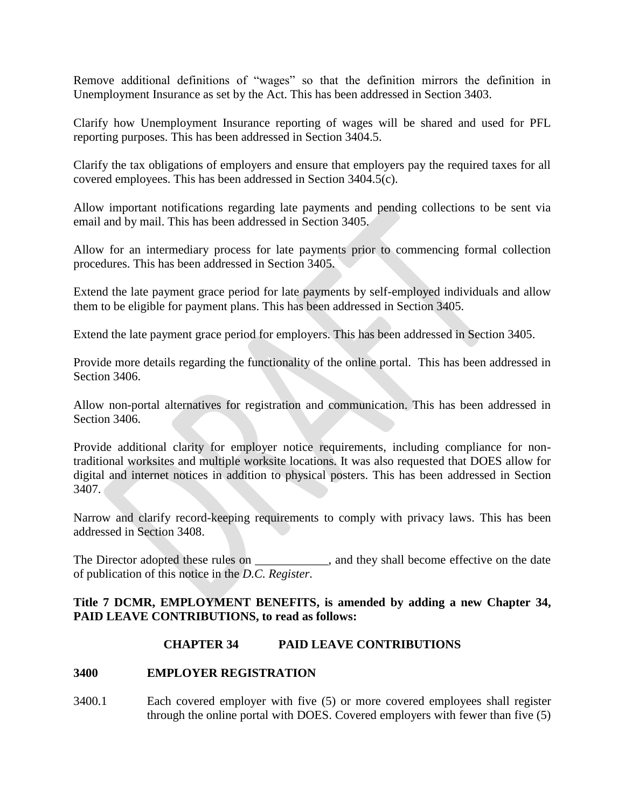Remove additional definitions of "wages" so that the definition mirrors the definition in Unemployment Insurance as set by the Act. This has been addressed in Section 3403.

Clarify how Unemployment Insurance reporting of wages will be shared and used for PFL reporting purposes. This has been addressed in Section 3404.5.

Clarify the tax obligations of employers and ensure that employers pay the required taxes for all covered employees. This has been addressed in Section 3404.5(c).

Allow important notifications regarding late payments and pending collections to be sent via email and by mail. This has been addressed in Section 3405.

Allow for an intermediary process for late payments prior to commencing formal collection procedures. This has been addressed in Section 3405.

Extend the late payment grace period for late payments by self-employed individuals and allow them to be eligible for payment plans. This has been addressed in Section 3405.

Extend the late payment grace period for employers. This has been addressed in Section 3405.

Provide more details regarding the functionality of the online portal. This has been addressed in Section 3406.

Allow non-portal alternatives for registration and communication. This has been addressed in Section 3406.

Provide additional clarity for employer notice requirements, including compliance for nontraditional worksites and multiple worksite locations. It was also requested that DOES allow for digital and internet notices in addition to physical posters. This has been addressed in Section 3407.

Narrow and clarify record-keeping requirements to comply with privacy laws. This has been addressed in Section 3408.

The Director adopted these rules on \_\_\_\_\_\_\_\_\_\_, and they shall become effective on the date of publication of this notice in the *D.C. Register*.

### **Title 7 DCMR, EMPLOYMENT BENEFITS, is amended by adding a new Chapter 34, PAID LEAVE CONTRIBUTIONS, to read as follows:**

# **CHAPTER 34 PAID LEAVE CONTRIBUTIONS**

### **3400 EMPLOYER REGISTRATION**

3400.1 Each covered employer with five (5) or more covered employees shall register through the online portal with DOES. Covered employers with fewer than five (5)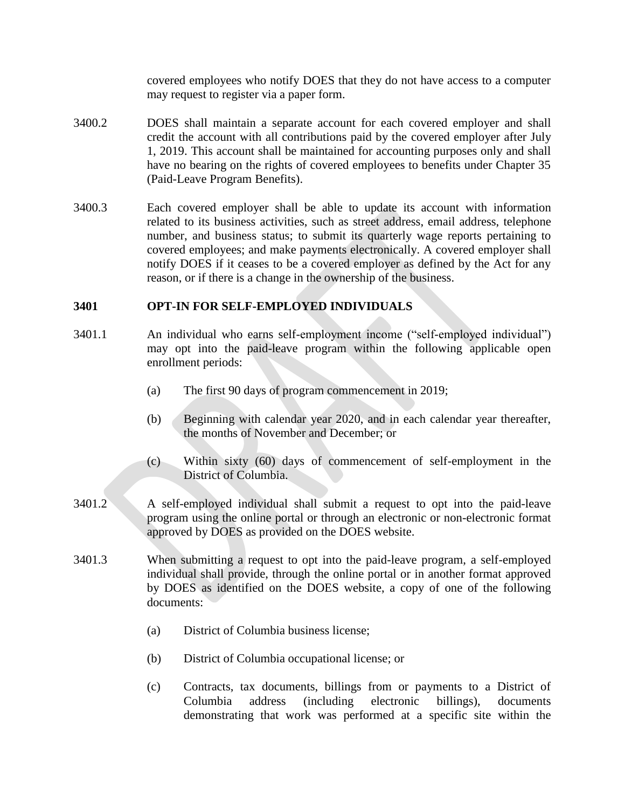covered employees who notify DOES that they do not have access to a computer may request to register via a paper form.

- 3400.2 DOES shall maintain a separate account for each covered employer and shall credit the account with all contributions paid by the covered employer after July 1, 2019. This account shall be maintained for accounting purposes only and shall have no bearing on the rights of covered employees to benefits under Chapter 35 (Paid-Leave Program Benefits).
- 3400.3 Each covered employer shall be able to update its account with information related to its business activities, such as street address, email address, telephone number, and business status; to submit its quarterly wage reports pertaining to covered employees; and make payments electronically. A covered employer shall notify DOES if it ceases to be a covered employer as defined by the Act for any reason, or if there is a change in the ownership of the business.

### **3401 OPT-IN FOR SELF-EMPLOYED INDIVIDUALS**

- 3401.1 An individual who earns self-employment income ("self-employed individual") may opt into the paid-leave program within the following applicable open enrollment periods:
	- (a) The first 90 days of program commencement in 2019;
	- (b) Beginning with calendar year 2020, and in each calendar year thereafter, the months of November and December; or
	- (c) Within sixty (60) days of commencement of self-employment in the District of Columbia.
- 3401.2 A self-employed individual shall submit a request to opt into the paid-leave program using the online portal or through an electronic or non-electronic format approved by DOES as provided on the DOES website.
- 3401.3 When submitting a request to opt into the paid-leave program, a self-employed individual shall provide, through the online portal or in another format approved by DOES as identified on the DOES website, a copy of one of the following documents:
	- (a) District of Columbia business license;
	- (b) District of Columbia occupational license; or
	- (c) Contracts, tax documents, billings from or payments to a District of Columbia address (including electronic billings), documents demonstrating that work was performed at a specific site within the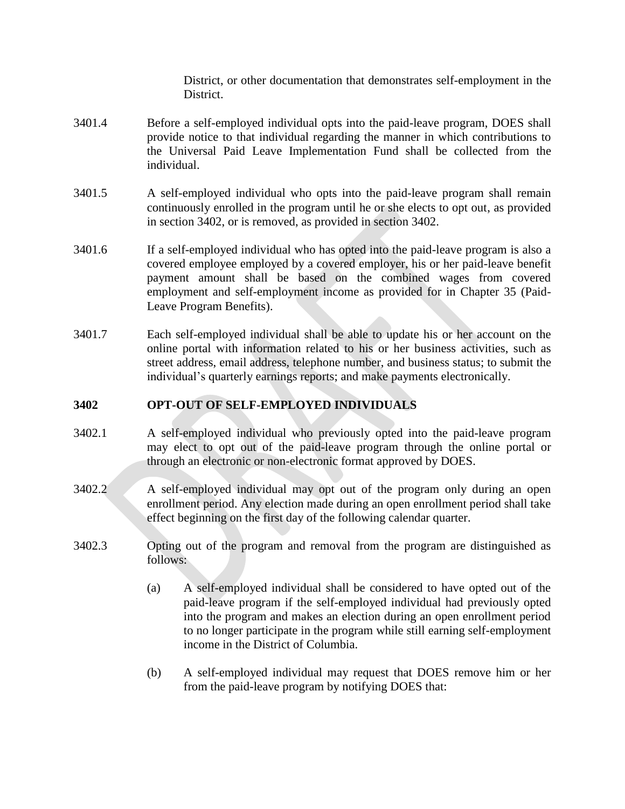District, or other documentation that demonstrates self-employment in the District.

- 3401.4 Before a self-employed individual opts into the paid-leave program, DOES shall provide notice to that individual regarding the manner in which contributions to the Universal Paid Leave Implementation Fund shall be collected from the individual.
- 3401.5 A self-employed individual who opts into the paid-leave program shall remain continuously enrolled in the program until he or she elects to opt out, as provided in section 3402, or is removed, as provided in section 3402.
- 3401.6 If a self-employed individual who has opted into the paid-leave program is also a covered employee employed by a covered employer, his or her paid-leave benefit payment amount shall be based on the combined wages from covered employment and self-employment income as provided for in Chapter 35 (Paid-Leave Program Benefits).
- 3401.7 Each self-employed individual shall be able to update his or her account on the online portal with information related to his or her business activities, such as street address, email address, telephone number, and business status; to submit the individual's quarterly earnings reports; and make payments electronically.

## **3402 OPT-OUT OF SELF-EMPLOYED INDIVIDUALS**

- 3402.1 A self-employed individual who previously opted into the paid-leave program may elect to opt out of the paid-leave program through the online portal or through an electronic or non-electronic format approved by DOES.
- 3402.2 A self-employed individual may opt out of the program only during an open enrollment period. Any election made during an open enrollment period shall take effect beginning on the first day of the following calendar quarter.
- 3402.3 Opting out of the program and removal from the program are distinguished as follows:
	- (a) A self-employed individual shall be considered to have opted out of the paid-leave program if the self-employed individual had previously opted into the program and makes an election during an open enrollment period to no longer participate in the program while still earning self-employment income in the District of Columbia.
	- (b) A self-employed individual may request that DOES remove him or her from the paid-leave program by notifying DOES that: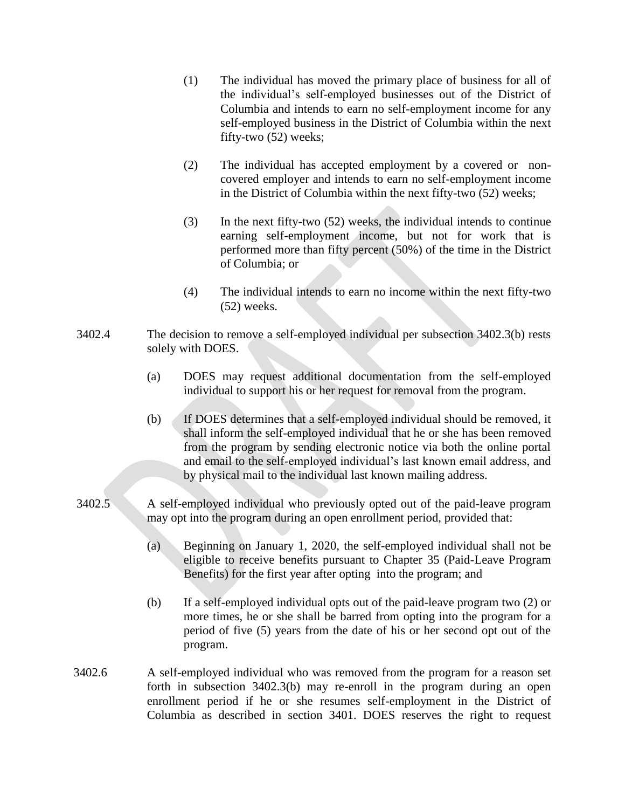- (1) The individual has moved the primary place of business for all of the individual's self-employed businesses out of the District of Columbia and intends to earn no self-employment income for any self-employed business in the District of Columbia within the next fifty-two (52) weeks;
- (2) The individual has accepted employment by a covered or noncovered employer and intends to earn no self-employment income in the District of Columbia within the next fifty-two (52) weeks;
- (3) In the next fifty-two (52) weeks, the individual intends to continue earning self-employment income, but not for work that is performed more than fifty percent (50%) of the time in the District of Columbia; or
- (4) The individual intends to earn no income within the next fifty-two (52) weeks.
- 3402.4 The decision to remove a self-employed individual per subsection 3402.3(b) rests solely with DOES.
	- (a) DOES may request additional documentation from the self-employed individual to support his or her request for removal from the program.
	- (b) If DOES determines that a self-employed individual should be removed, it shall inform the self-employed individual that he or she has been removed from the program by sending electronic notice via both the online portal and email to the self-employed individual's last known email address, and by physical mail to the individual last known mailing address.
- 3402.5 A self-employed individual who previously opted out of the paid-leave program may opt into the program during an open enrollment period, provided that:
	- (a) Beginning on January 1, 2020, the self-employed individual shall not be eligible to receive benefits pursuant to Chapter 35 (Paid-Leave Program Benefits) for the first year after opting into the program; and
	- (b) If a self-employed individual opts out of the paid-leave program two (2) or more times, he or she shall be barred from opting into the program for a period of five (5) years from the date of his or her second opt out of the program.
- 3402.6 A self-employed individual who was removed from the program for a reason set forth in subsection 3402.3(b) may re-enroll in the program during an open enrollment period if he or she resumes self-employment in the District of Columbia as described in section 3401. DOES reserves the right to request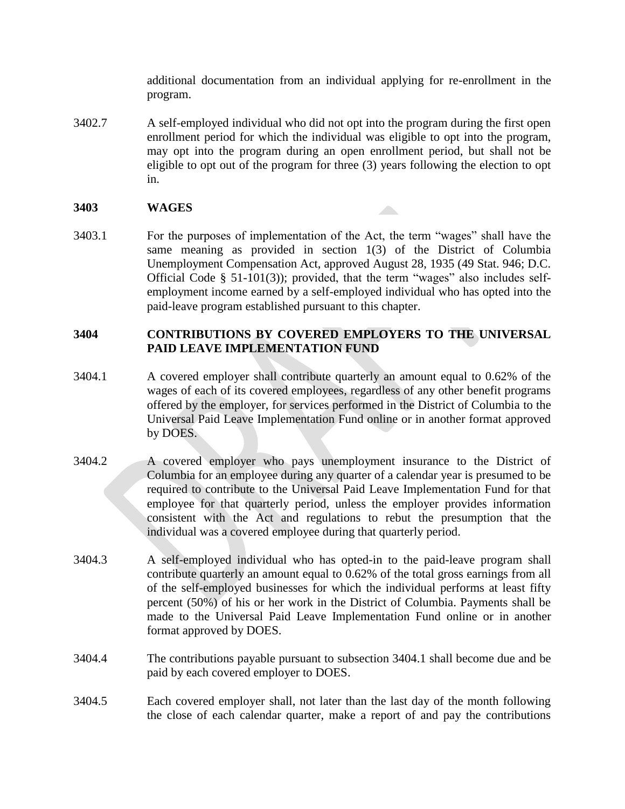additional documentation from an individual applying for re-enrollment in the program.

3402.7 A self-employed individual who did not opt into the program during the first open enrollment period for which the individual was eligible to opt into the program, may opt into the program during an open enrollment period, but shall not be eligible to opt out of the program for three (3) years following the election to opt in.

### **3403 WAGES**

3403.1 For the purposes of implementation of the Act, the term "wages" shall have the same meaning as provided in section 1(3) of the District of Columbia Unemployment Compensation Act, approved August 28, 1935 (49 Stat. 946; D.C. Official Code § 51-101(3)); provided, that the term "wages" also includes selfemployment income earned by a self-employed individual who has opted into the paid-leave program established pursuant to this chapter.

### **3404 CONTRIBUTIONS BY COVERED EMPLOYERS TO THE UNIVERSAL PAID LEAVE IMPLEMENTATION FUND**

- 3404.1 A covered employer shall contribute quarterly an amount equal to 0.62% of the wages of each of its covered employees, regardless of any other benefit programs offered by the employer, for services performed in the District of Columbia to the Universal Paid Leave Implementation Fund online or in another format approved by DOES.
- 3404.2 A covered employer who pays unemployment insurance to the District of Columbia for an employee during any quarter of a calendar year is presumed to be required to contribute to the Universal Paid Leave Implementation Fund for that employee for that quarterly period, unless the employer provides information consistent with the Act and regulations to rebut the presumption that the individual was a covered employee during that quarterly period.
- 3404.3 A self-employed individual who has opted-in to the paid-leave program shall contribute quarterly an amount equal to 0.62% of the total gross earnings from all of the self-employed businesses for which the individual performs at least fifty percent (50%) of his or her work in the District of Columbia. Payments shall be made to the Universal Paid Leave Implementation Fund online or in another format approved by DOES.
- 3404.4 The contributions payable pursuant to subsection 3404.1 shall become due and be paid by each covered employer to DOES.
- 3404.5 Each covered employer shall, not later than the last day of the month following the close of each calendar quarter, make a report of and pay the contributions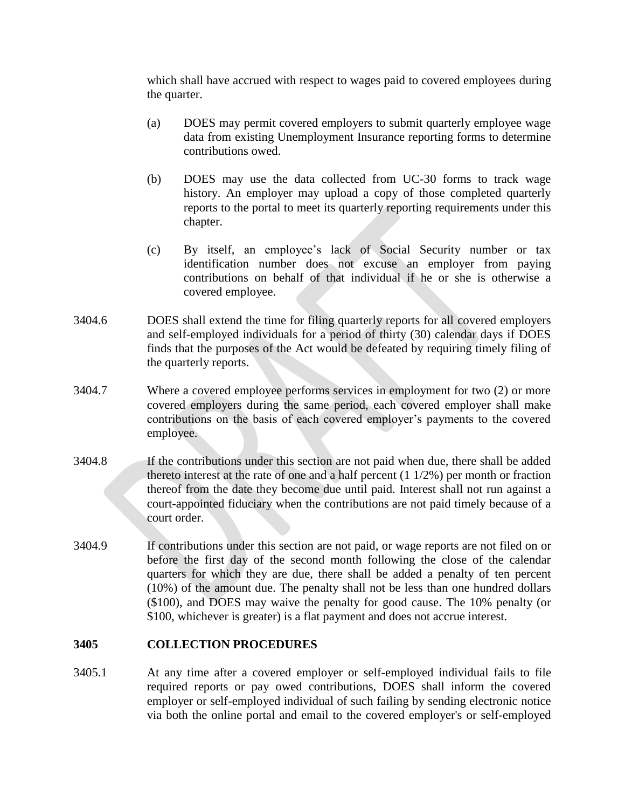which shall have accrued with respect to wages paid to covered employees during the quarter.

- (a) DOES may permit covered employers to submit quarterly employee wage data from existing Unemployment Insurance reporting forms to determine contributions owed.
- (b) DOES may use the data collected from UC-30 forms to track wage history. An employer may upload a copy of those completed quarterly reports to the portal to meet its quarterly reporting requirements under this chapter.
- (c) By itself, an employee's lack of Social Security number or tax identification number does not excuse an employer from paying contributions on behalf of that individual if he or she is otherwise a covered employee.
- 3404.6 DOES shall extend the time for filing quarterly reports for all covered employers and self-employed individuals for a period of thirty (30) calendar days if DOES finds that the purposes of the Act would be defeated by requiring timely filing of the quarterly reports.
- 3404.7 Where a covered employee performs services in employment for two (2) or more covered employers during the same period, each covered employer shall make contributions on the basis of each covered employer's payments to the covered employee.
- 3404.8 If the contributions under this section are not paid when due, there shall be added thereto interest at the rate of one and a half percent (1 1/2%) per month or fraction thereof from the date they become due until paid. Interest shall not run against a court-appointed fiduciary when the contributions are not paid timely because of a court order.
- 3404.9 If contributions under this section are not paid, or wage reports are not filed on or before the first day of the second month following the close of the calendar quarters for which they are due, there shall be added a penalty of ten percent (10%) of the amount due. The penalty shall not be less than one hundred dollars (\$100), and DOES may waive the penalty for good cause. The 10% penalty (or \$100, whichever is greater) is a flat payment and does not accrue interest.

#### **3405 COLLECTION PROCEDURES**

3405.1 At any time after a covered employer or self-employed individual fails to file required reports or pay owed contributions, DOES shall inform the covered employer or self-employed individual of such failing by sending electronic notice via both the online portal and email to the covered employer's or self-employed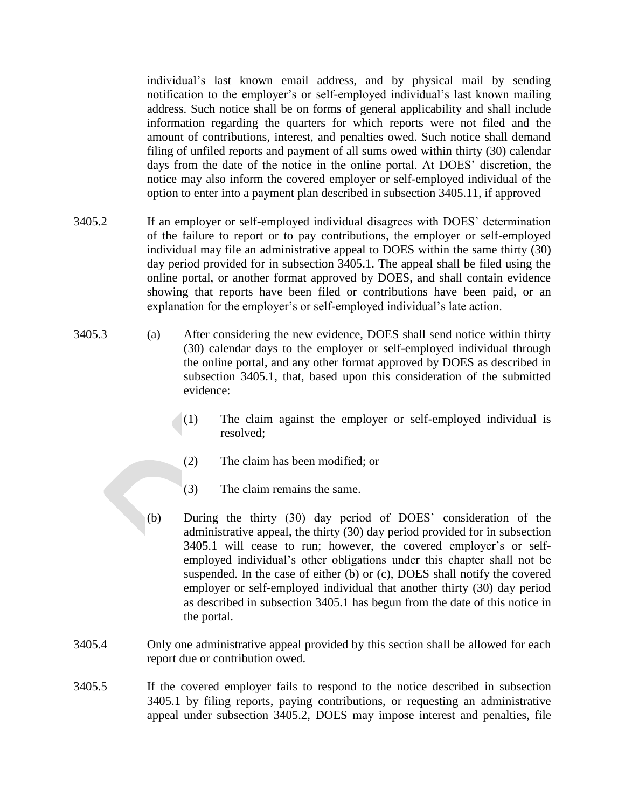individual's last known email address, and by physical mail by sending notification to the employer's or self-employed individual's last known mailing address. Such notice shall be on forms of general applicability and shall include information regarding the quarters for which reports were not filed and the amount of contributions, interest, and penalties owed. Such notice shall demand filing of unfiled reports and payment of all sums owed within thirty (30) calendar days from the date of the notice in the online portal. At DOES' discretion, the notice may also inform the covered employer or self-employed individual of the option to enter into a payment plan described in subsection 3405.11, if approved

- 3405.2 If an employer or self-employed individual disagrees with DOES' determination of the failure to report or to pay contributions, the employer or self-employed individual may file an administrative appeal to DOES within the same thirty (30) day period provided for in subsection 3405.1. The appeal shall be filed using the online portal, or another format approved by DOES, and shall contain evidence showing that reports have been filed or contributions have been paid, or an explanation for the employer's or self-employed individual's late action.
- 3405.3 (a) After considering the new evidence, DOES shall send notice within thirty (30) calendar days to the employer or self-employed individual through the online portal, and any other format approved by DOES as described in subsection 3405.1, that, based upon this consideration of the submitted evidence:
	- (1) The claim against the employer or self-employed individual is resolved;
	- (2) The claim has been modified; or
	- (3) The claim remains the same.
	- (b) During the thirty (30) day period of DOES' consideration of the administrative appeal, the thirty (30) day period provided for in subsection 3405.1 will cease to run; however, the covered employer's or selfemployed individual's other obligations under this chapter shall not be suspended. In the case of either (b) or (c), DOES shall notify the covered employer or self-employed individual that another thirty (30) day period as described in subsection 3405.1 has begun from the date of this notice in the portal.
- 3405.4 Only one administrative appeal provided by this section shall be allowed for each report due or contribution owed.
- 3405.5 If the covered employer fails to respond to the notice described in subsection 3405.1 by filing reports, paying contributions, or requesting an administrative appeal under subsection 3405.2, DOES may impose interest and penalties, file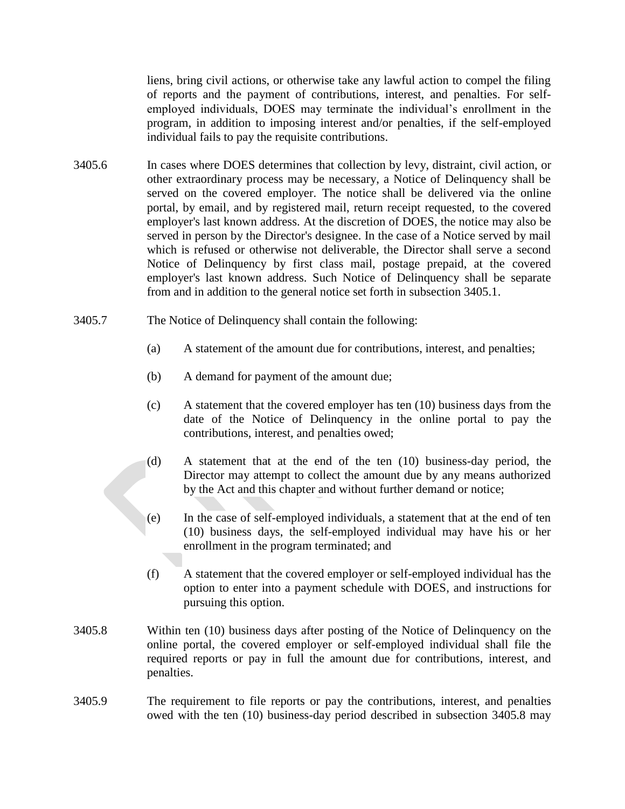liens, bring civil actions, or otherwise take any lawful action to compel the filing of reports and the payment of contributions, interest, and penalties. For selfemployed individuals, DOES may terminate the individual's enrollment in the program, in addition to imposing interest and/or penalties, if the self-employed individual fails to pay the requisite contributions.

- 3405.6 In cases where DOES determines that collection by levy, distraint, civil action, or other extraordinary process may be necessary, a Notice of Delinquency shall be served on the covered employer. The notice shall be delivered via the online portal, by email, and by registered mail, return receipt requested, to the covered employer's last known address. At the discretion of DOES, the notice may also be served in person by the Director's designee. In the case of a Notice served by mail which is refused or otherwise not deliverable, the Director shall serve a second Notice of Delinquency by first class mail, postage prepaid, at the covered employer's last known address. Such Notice of Delinquency shall be separate from and in addition to the general notice set forth in subsection 3405.1.
- 3405.7 The Notice of Delinquency shall contain the following:
	- (a) A statement of the amount due for contributions, interest, and penalties;
	- (b) A demand for payment of the amount due;
	- (c) A statement that the covered employer has ten (10) business days from the date of the Notice of Delinquency in the online portal to pay the contributions, interest, and penalties owed;
	- (d) A statement that at the end of the ten (10) business-day period, the Director may attempt to collect the amount due by any means authorized by the Act and this chapter and without further demand or notice;
	- (e) In the case of self-employed individuals, a statement that at the end of ten (10) business days, the self-employed individual may have his or her enrollment in the program terminated; and
	- (f) A statement that the covered employer or self-employed individual has the option to enter into a payment schedule with DOES, and instructions for pursuing this option.
- 3405.8 Within ten (10) business days after posting of the Notice of Delinquency on the online portal, the covered employer or self-employed individual shall file the required reports or pay in full the amount due for contributions, interest, and penalties.
- 3405.9 The requirement to file reports or pay the contributions, interest, and penalties owed with the ten (10) business-day period described in subsection 3405.8 may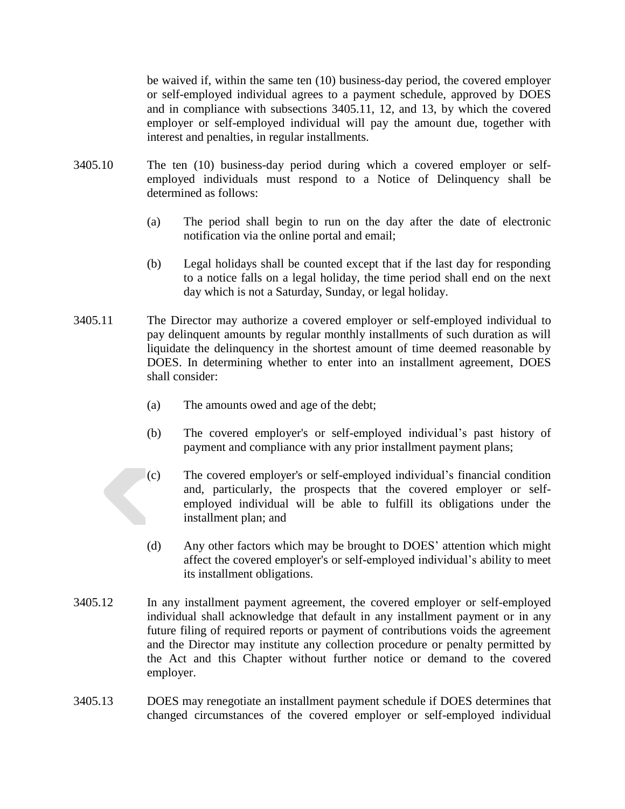be waived if, within the same ten (10) business-day period, the covered employer or self-employed individual agrees to a payment schedule, approved by DOES and in compliance with subsections 3405.11, 12, and 13, by which the covered employer or self-employed individual will pay the amount due, together with interest and penalties, in regular installments.

- 3405.10 The ten (10) business-day period during which a covered employer or selfemployed individuals must respond to a Notice of Delinquency shall be determined as follows:
	- (a) The period shall begin to run on the day after the date of electronic notification via the online portal and email;
	- (b) Legal holidays shall be counted except that if the last day for responding to a notice falls on a legal holiday, the time period shall end on the next day which is not a Saturday, Sunday, or legal holiday.
- 3405.11 The Director may authorize a covered employer or self-employed individual to pay delinquent amounts by regular monthly installments of such duration as will liquidate the delinquency in the shortest amount of time deemed reasonable by DOES. In determining whether to enter into an installment agreement, DOES shall consider:
	- (a) The amounts owed and age of the debt;
	- (b) The covered employer's or self-employed individual's past history of payment and compliance with any prior installment payment plans;
	- (c) The covered employer's or self-employed individual's financial condition and, particularly, the prospects that the covered employer or selfemployed individual will be able to fulfill its obligations under the installment plan; and
	- (d) Any other factors which may be brought to DOES' attention which might affect the covered employer's or self-employed individual's ability to meet its installment obligations.
- 3405.12 In any installment payment agreement, the covered employer or self-employed individual shall acknowledge that default in any installment payment or in any future filing of required reports or payment of contributions voids the agreement and the Director may institute any collection procedure or penalty permitted by the Act and this Chapter without further notice or demand to the covered employer.
- 3405.13 DOES may renegotiate an installment payment schedule if DOES determines that changed circumstances of the covered employer or self-employed individual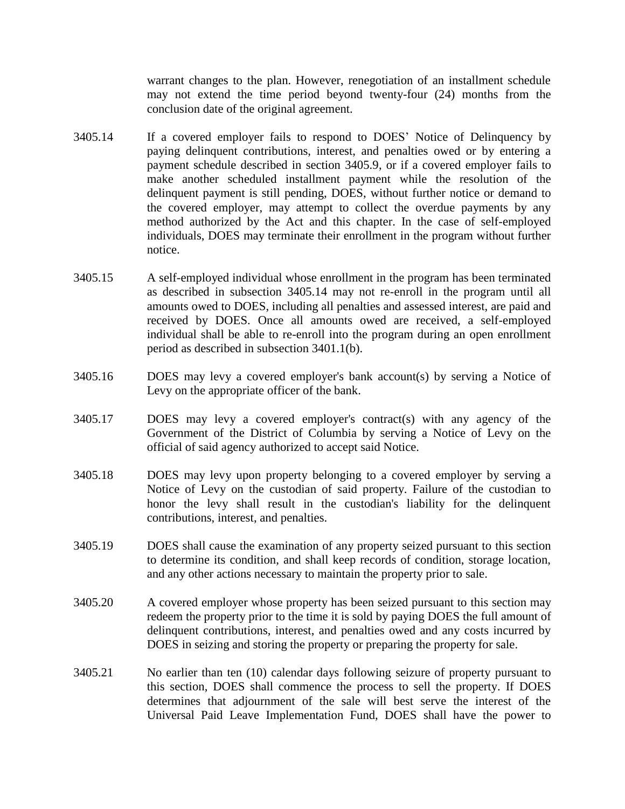warrant changes to the plan. However, renegotiation of an installment schedule may not extend the time period beyond twenty-four (24) months from the conclusion date of the original agreement.

- 3405.14 If a covered employer fails to respond to DOES' Notice of Delinquency by paying delinquent contributions, interest, and penalties owed or by entering a payment schedule described in section 3405.9, or if a covered employer fails to make another scheduled installment payment while the resolution of the delinquent payment is still pending, DOES, without further notice or demand to the covered employer, may attempt to collect the overdue payments by any method authorized by the Act and this chapter. In the case of self-employed individuals, DOES may terminate their enrollment in the program without further notice.
- 3405.15 A self-employed individual whose enrollment in the program has been terminated as described in subsection 3405.14 may not re-enroll in the program until all amounts owed to DOES, including all penalties and assessed interest, are paid and received by DOES. Once all amounts owed are received, a self-employed individual shall be able to re-enroll into the program during an open enrollment period as described in subsection 3401.1(b).
- 3405.16 DOES may levy a covered employer's bank account(s) by serving a Notice of Levy on the appropriate officer of the bank.
- 3405.17 DOES may levy a covered employer's contract(s) with any agency of the Government of the District of Columbia by serving a Notice of Levy on the official of said agency authorized to accept said Notice.
- 3405.18 DOES may levy upon property belonging to a covered employer by serving a Notice of Levy on the custodian of said property. Failure of the custodian to honor the levy shall result in the custodian's liability for the delinquent contributions, interest, and penalties.
- 3405.19 DOES shall cause the examination of any property seized pursuant to this section to determine its condition, and shall keep records of condition, storage location, and any other actions necessary to maintain the property prior to sale.
- 3405.20 A covered employer whose property has been seized pursuant to this section may redeem the property prior to the time it is sold by paying DOES the full amount of delinquent contributions, interest, and penalties owed and any costs incurred by DOES in seizing and storing the property or preparing the property for sale.
- 3405.21 No earlier than ten (10) calendar days following seizure of property pursuant to this section, DOES shall commence the process to sell the property. If DOES determines that adjournment of the sale will best serve the interest of the Universal Paid Leave Implementation Fund, DOES shall have the power to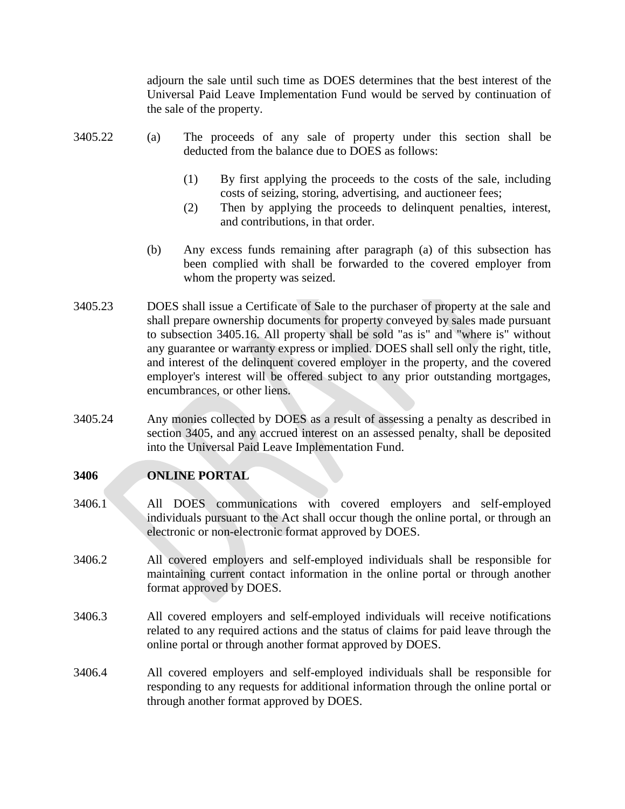adjourn the sale until such time as DOES determines that the best interest of the Universal Paid Leave Implementation Fund would be served by continuation of the sale of the property.

- 3405.22 (a) The proceeds of any sale of property under this section shall be deducted from the balance due to DOES as follows:
	- (1) By first applying the proceeds to the costs of the sale, including costs of seizing, storing, advertising, and auctioneer fees;
	- (2) Then by applying the proceeds to delinquent penalties, interest, and contributions, in that order.
	- (b) Any excess funds remaining after paragraph (a) of this subsection has been complied with shall be forwarded to the covered employer from whom the property was seized.
- 3405.23 DOES shall issue a Certificate of Sale to the purchaser of property at the sale and shall prepare ownership documents for property conveyed by sales made pursuant to subsection 3405.16. All property shall be sold "as is" and "where is" without any guarantee or warranty express or implied. DOES shall sell only the right, title, and interest of the delinquent covered employer in the property, and the covered employer's interest will be offered subject to any prior outstanding mortgages, encumbrances, or other liens.
- 3405.24 Any monies collected by DOES as a result of assessing a penalty as described in section 3405, and any accrued interest on an assessed penalty, shall be deposited into the Universal Paid Leave Implementation Fund.

### **3406 ONLINE PORTAL**

- 3406.1 All DOES communications with covered employers and self-employed individuals pursuant to the Act shall occur though the online portal, or through an electronic or non-electronic format approved by DOES.
- 3406.2 All covered employers and self-employed individuals shall be responsible for maintaining current contact information in the online portal or through another format approved by DOES.
- 3406.3 All covered employers and self-employed individuals will receive notifications related to any required actions and the status of claims for paid leave through the online portal or through another format approved by DOES.
- 3406.4 All covered employers and self-employed individuals shall be responsible for responding to any requests for additional information through the online portal or through another format approved by DOES.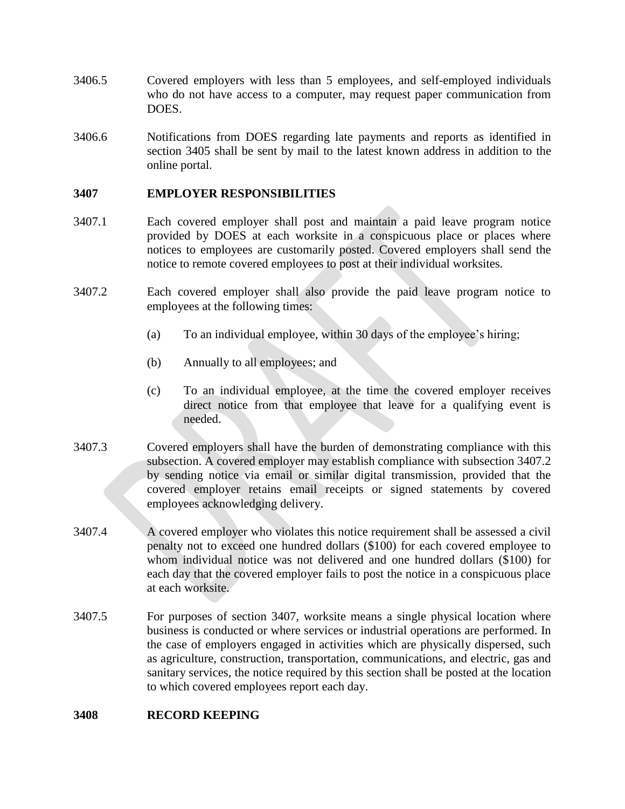- 3406.5 Covered employers with less than 5 employees, and self-employed individuals who do not have access to a computer, may request paper communication from DOES.
- 3406.6 Notifications from DOES regarding late payments and reports as identified in section 3405 shall be sent by mail to the latest known address in addition to the online portal.

### **3407 EMPLOYER RESPONSIBILITIES**

- 3407.1 Each covered employer shall post and maintain a paid leave program notice provided by DOES at each worksite in a conspicuous place or places where notices to employees are customarily posted. Covered employers shall send the notice to remote covered employees to post at their individual worksites.
- 3407.2 Each covered employer shall also provide the paid leave program notice to employees at the following times:
	- (a) To an individual employee, within 30 days of the employee's hiring;
	- (b) Annually to all employees; and
	- (c) To an individual employee, at the time the covered employer receives direct notice from that employee that leave for a qualifying event is needed.
- 3407.3 Covered employers shall have the burden of demonstrating compliance with this subsection. A covered employer may establish compliance with subsection 3407.2 by sending notice via email or similar digital transmission, provided that the covered employer retains email receipts or signed statements by covered employees acknowledging delivery.
- 3407.4 A covered employer who violates this notice requirement shall be assessed a civil penalty not to exceed one hundred dollars (\$100) for each covered employee to whom individual notice was not delivered and one hundred dollars (\$100) for each day that the covered employer fails to post the notice in a conspicuous place at each worksite.
- 3407.5 For purposes of section 3407, worksite means a single physical location where business is conducted or where services or industrial operations are performed. In the case of employers engaged in activities which are physically dispersed, such as agriculture, construction, transportation, communications, and electric, gas and sanitary services, the notice required by this section shall be posted at the location to which covered employees report each day.

#### **3408 RECORD KEEPING**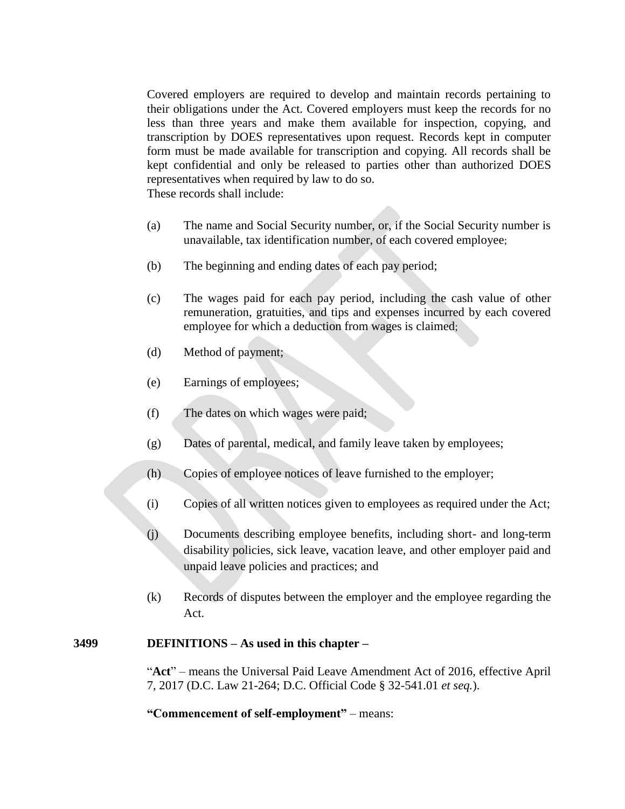Covered employers are required to develop and maintain records pertaining to their obligations under the Act. Covered employers must keep the records for no less than three years and make them available for inspection, copying, and transcription by DOES representatives upon request. Records kept in computer form must be made available for transcription and copying. All records shall be kept confidential and only be released to parties other than authorized DOES representatives when required by law to do so. These records shall include:

- (a) The name and Social Security number, or, if the Social Security number is unavailable, tax identification number, of each covered employee;
- (b) The beginning and ending dates of each pay period;
- (c) The wages paid for each pay period, including the cash value of other remuneration, gratuities, and tips and expenses incurred by each covered employee for which a deduction from wages is claimed;
- (d) Method of payment;
- (e) Earnings of employees;
- (f) The dates on which wages were paid;
- (g) Dates of parental, medical, and family leave taken by employees;
- (h) Copies of employee notices of leave furnished to the employer;
- (i) Copies of all written notices given to employees as required under the Act;
- (j) Documents describing employee benefits, including short- and long-term disability policies, sick leave, vacation leave, and other employer paid and unpaid leave policies and practices; and
- (k) Records of disputes between the employer and the employee regarding the Act.

### **3499 DEFINITIONS – As used in this chapter –**

"**Act**" – means the Universal Paid Leave Amendment Act of 2016, effective April 7, 2017 (D.C. Law 21-264; D.C. Official Code § 32-541.01 *et seq.*).

**"Commencement of self-employment"** – means: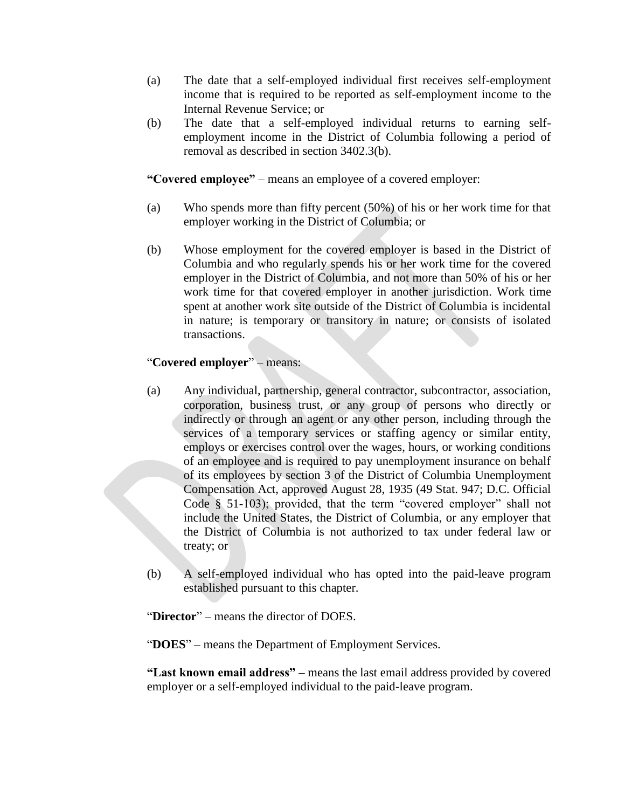- (a) The date that a self-employed individual first receives self-employment income that is required to be reported as self-employment income to the Internal Revenue Service; or
- (b) The date that a self-employed individual returns to earning selfemployment income in the District of Columbia following a period of removal as described in section 3402.3(b).

**"Covered employee"** – means an employee of a covered employer:

- (a) Who spends more than fifty percent (50%) of his or her work time for that employer working in the District of Columbia; or
- (b) Whose employment for the covered employer is based in the District of Columbia and who regularly spends his or her work time for the covered employer in the District of Columbia, and not more than 50% of his or her work time for that covered employer in another jurisdiction. Work time spent at another work site outside of the District of Columbia is incidental in nature; is temporary or transitory in nature; or consists of isolated transactions.

# "**Covered employer**" – means:

- (a) Any individual, partnership, general contractor, subcontractor, association, corporation, business trust, or any group of persons who directly or indirectly or through an agent or any other person, including through the services of a temporary services or staffing agency or similar entity, employs or exercises control over the wages, hours, or working conditions of an employee and is required to pay unemployment insurance on behalf of its employees by section 3 of the District of Columbia Unemployment Compensation Act, approved August 28, 1935 (49 Stat. 947; D.C. Official Code § 51-103); provided, that the term "covered employer" shall not include the United States, the District of Columbia, or any employer that the District of Columbia is not authorized to tax under federal law or treaty; or
- (b) A self-employed individual who has opted into the paid-leave program established pursuant to this chapter.

"**Director**" – means the director of DOES.

"**DOES**" – means the Department of Employment Services.

**"Last known email address" –** means the last email address provided by covered employer or a self-employed individual to the paid-leave program.